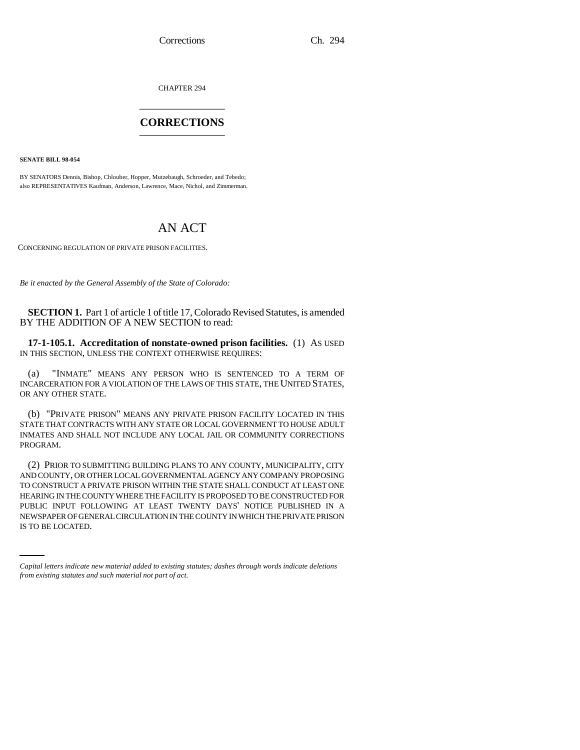Corrections Ch. 294

CHAPTER 294 \_\_\_\_\_\_\_\_\_\_\_\_\_\_\_

## **CORRECTIONS** \_\_\_\_\_\_\_\_\_\_\_\_\_\_\_

**SENATE BILL 98-054**

BY SENATORS Dennis, Bishop, Chlouber, Hopper, Mutzebaugh, Schroeder, and Tebedo; also REPRESENTATIVES Kaufman, Anderson, Lawrence, Mace, Nichol, and Zimmerman.

## AN ACT

CONCERNING REGULATION OF PRIVATE PRISON FACILITIES.

*Be it enacted by the General Assembly of the State of Colorado:*

**SECTION 1.** Part 1 of article 1 of title 17, Colorado Revised Statutes, is amended BY THE ADDITION OF A NEW SECTION to read:

**17-1-105.1. Accreditation of nonstate-owned prison facilities.** (1) AS USED IN THIS SECTION, UNLESS THE CONTEXT OTHERWISE REQUIRES:

(a) "INMATE" MEANS ANY PERSON WHO IS SENTENCED TO A TERM OF INCARCERATION FOR A VIOLATION OF THE LAWS OF THIS STATE, THE UNITED STATES, OR ANY OTHER STATE.

(b) "PRIVATE PRISON" MEANS ANY PRIVATE PRISON FACILITY LOCATED IN THIS STATE THAT CONTRACTS WITH ANY STATE OR LOCAL GOVERNMENT TO HOUSE ADULT INMATES AND SHALL NOT INCLUDE ANY LOCAL JAIL OR COMMUNITY CORRECTIONS PROGRAM.

PUBLIC INPUT FOLLOWING AT LEAST TWENTY DAYS' NOTICE PUBLISHED IN A (2) PRIOR TO SUBMITTING BUILDING PLANS TO ANY COUNTY, MUNICIPALITY, CITY AND COUNTY, OR OTHER LOCAL GOVERNMENTAL AGENCY ANY COMPANY PROPOSING TO CONSTRUCT A PRIVATE PRISON WITHIN THE STATE SHALL CONDUCT AT LEAST ONE HEARING IN THE COUNTY WHERE THE FACILITY IS PROPOSED TO BE CONSTRUCTED FOR NEWSPAPER OF GENERAL CIRCULATION IN THE COUNTY IN WHICH THE PRIVATE PRISON IS TO BE LOCATED.

*Capital letters indicate new material added to existing statutes; dashes through words indicate deletions from existing statutes and such material not part of act.*